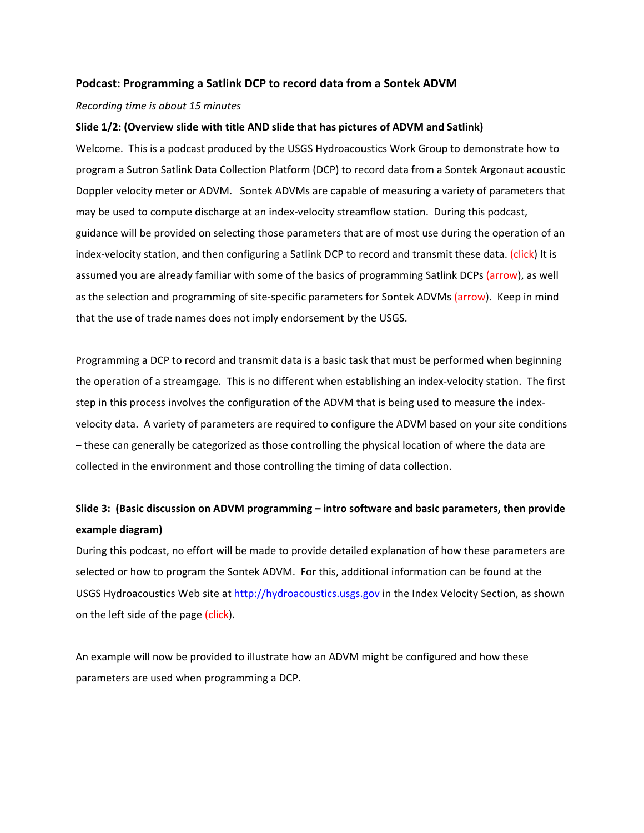## **Podcast: Programming a Satlink DCP to record data from a Sontek ADVM**

#### *Recording time is about 15 minutes*

#### **Slide 1/2: (Overview slide with title AND slide that has pictures of ADVM and Satlink)**

Welcome. This is a podcast produced by the USGS Hydroacoustics Work Group to demonstrate how to program a Sutron Satlink Data Collection Platform (DCP) to record data from a Sontek Argonaut acoustic Doppler velocity meter or ADVM. Sontek ADVMs are capable of measuring a variety of parameters that may be used to compute discharge at an index-velocity streamflow station. During this podcast, guidance will be provided on selecting those parameters that are of most use during the operation of an index-velocity station, and then configuring a Satlink DCP to record and transmit these data. (click) It is assumed you are already familiar with some of the basics of programming Satlink DCPs (arrow), as well as the selection and programming of site-specific parameters for Sontek ADVMs (arrow). Keep in mind that the use of trade names does not imply endorsement by the USGS.

Programming a DCP to record and transmit data is a basic task that must be performed when beginning the operation of a streamgage. This is no different when establishing an index‐velocity station. The first step in this process involves the configuration of the ADVM that is being used to measure the index‐ velocity data. A variety of parameters are required to configure the ADVM based on your site conditions – these can generally be categorized as those controlling the physical location of where the data are collected in the environment and those controlling the timing of data collection.

# **Slide 3: (Basic discussion on ADVM programming – intro software and basic parameters, then provide example diagram)**

During this podcast, no effort will be made to provide detailed explanation of how these parameters are selected or how to program the Sontek ADVM. For this, additional information can be found at the USGS Hydroacoustics Web site at http://hydroacoustics.usgs.gov in the Index Velocity Section, as shown on the left side of the page (click).

An example will now be provided to illustrate how an ADVM might be configured and how these parameters are used when programming a DCP.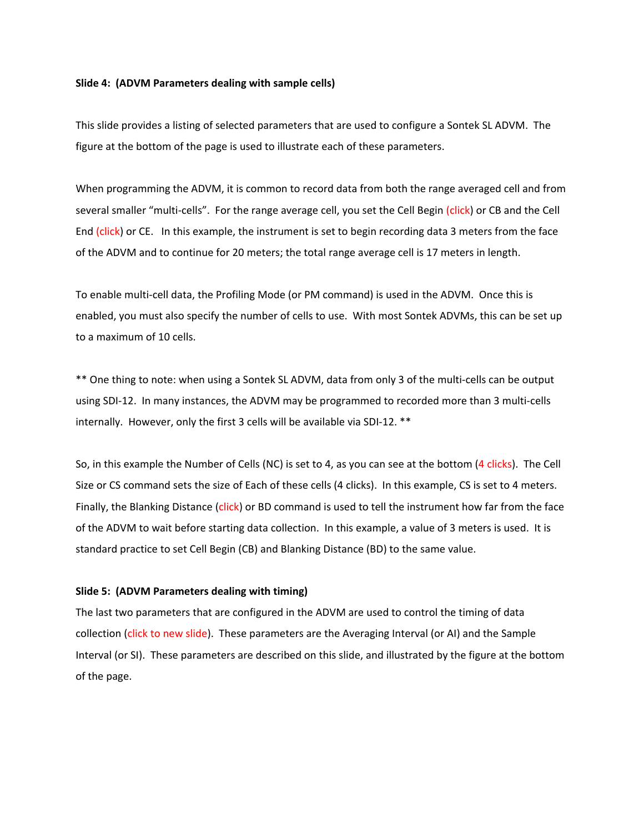#### **Slide 4: (ADVM Parameters dealing with sample cells)**

This slide provides a listing of selected parameters that are used to configure a Sontek SL ADVM. The figure at the bottom of the page is used to illustrate each of these parameters.

When programming the ADVM, it is common to record data from both the range averaged cell and from several smaller "multi-cells". For the range average cell, you set the Cell Begin (click) or CB and the Cell End (click) or CE. In this example, the instrument is set to begin recording data 3 meters from the face of the ADVM and to continue for 20 meters; the total range average cell is 17 meters in length.

To enable multi‐cell data, the Profiling Mode (or PM command) is used in the ADVM. Once this is enabled, you must also specify the number of cells to use. With most Sontek ADVMs, this can be set up to a maximum of 10 cells.

\*\* One thing to note: when using a Sontek SL ADVM, data from only 3 of the multi‐cells can be output using SDI-12. In many instances, the ADVM may be programmed to recorded more than 3 multi-cells internally. However, only the first 3 cells will be available via SDI‐12. \*\*

So, in this example the Number of Cells (NC) is set to 4, as you can see at the bottom (4 clicks). The Cell Size or CS command sets the size of Each of these cells (4 clicks). In this example, CS is set to 4 meters. Finally, the Blanking Distance (click) or BD command is used to tell the instrument how far from the face of the ADVM to wait before starting data collection. In this example, a value of 3 meters is used. It is standard practice to set Cell Begin (CB) and Blanking Distance (BD) to the same value.

#### **Slide 5: (ADVM Parameters dealing with timing)**

The last two parameters that are configured in the ADVM are used to control the timing of data collection (click to new slide). These parameters are the Averaging Interval (or AI) and the Sample Interval (or SI). These parameters are described on this slide, and illustrated by the figure at the bottom of the page.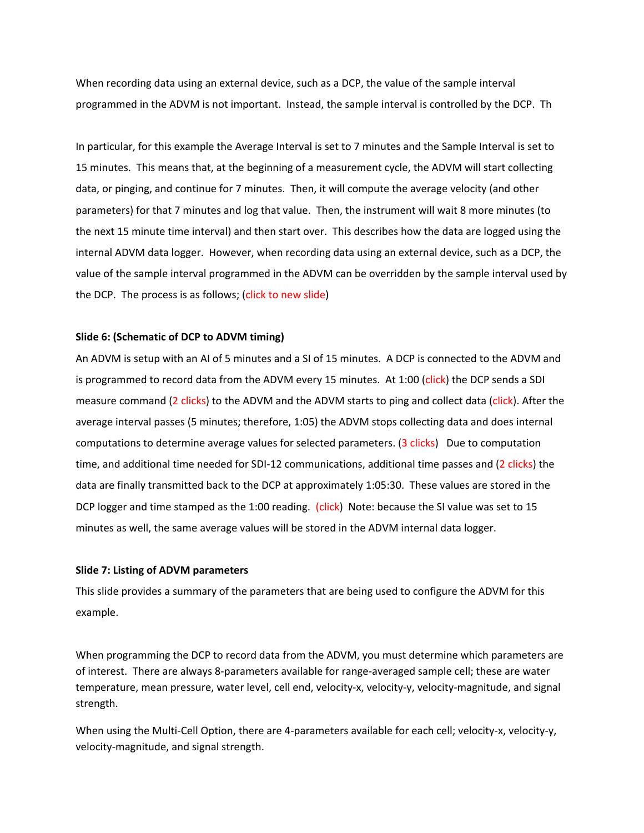When recording data using an external device, such as a DCP, the value of the sample interval programmed in the ADVM is not important. Instead, the sample interval is controlled by the DCP. Th

In particular, for this example the Average Interval is set to 7 minutes and the Sample Interval is set to 15 minutes. This means that, at the beginning of a measurement cycle, the ADVM will start collecting data, or pinging, and continue for 7 minutes. Then, it will compute the average velocity (and other parameters) for that 7 minutes and log that value. Then, the instrument will wait 8 more minutes (to the next 15 minute time interval) and then start over. This describes how the data are logged using the internal ADVM data logger. However, when recording data using an external device, such as a DCP, the value of the sample interval programmed in the ADVM can be overridden by the sample interval used by the DCP. The process is as follows; (click to new slide)

## **Slide 6: (Schematic of DCP to ADVM timing)**

An ADVM is setup with an AI of 5 minutes and a SI of 15 minutes. A DCP is connected to the ADVM and is programmed to record data from the ADVM every 15 minutes. At 1:00 (click) the DCP sends a SDI measure command (2 clicks) to the ADVM and the ADVM starts to ping and collect data (click). After the average interval passes (5 minutes; therefore, 1:05) the ADVM stops collecting data and does internal computations to determine average values for selected parameters. (3 clicks) Due to computation time, and additional time needed for SDI-12 communications, additional time passes and (2 clicks) the data are finally transmitted back to the DCP at approximately 1:05:30. These values are stored in the DCP logger and time stamped as the 1:00 reading. (click) Note: because the SI value was set to 15 minutes as well, the same average values will be stored in the ADVM internal data logger.

#### **Slide 7: Listing of ADVM parameters**

This slide provides a summary of the parameters that are being used to configure the ADVM for this example.

When programming the DCP to record data from the ADVM, you must determine which parameters are of interest. There are always 8‐parameters available for range‐averaged sample cell; these are water temperature, mean pressure, water level, cell end, velocity-x, velocity-y, velocity-magnitude, and signal strength.

When using the Multi-Cell Option, there are 4-parameters available for each cell; velocity-x, velocity-y, velocity‐magnitude, and signal strength.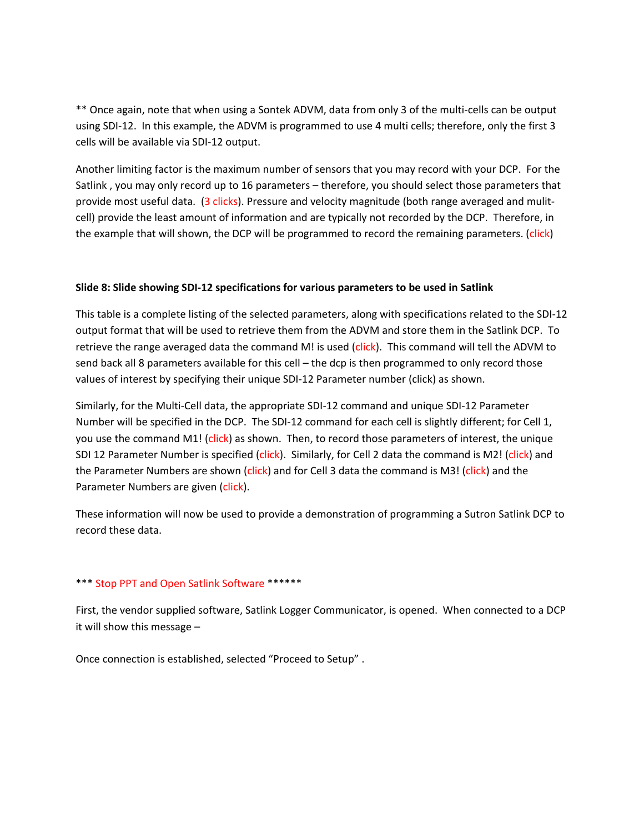\*\* Once again, note that when using a Sontek ADVM, data from only 3 of the multi‐cells can be output using SDI-12. In this example, the ADVM is programmed to use 4 multi cells; therefore, only the first 3 cells will be available via SDI‐12 output.

Another limiting factor is the maximum number of sensors that you may record with your DCP. For the Satlink , you may only record up to 16 parameters – therefore, you should select those parameters that provide most useful data. (3 clicks). Pressure and velocity magnitude (both range averaged and mulitcell) provide the least amount of information and are typically not recorded by the DCP. Therefore, in the example that will shown, the DCP will be programmed to record the remaining parameters. (click)

## **Slide 8: Slide showing SDI‐12 specifications for various parameters to be used in Satlink**

This table is a complete listing of the selected parameters, along with specifications related to the SDI‐12 output format that will be used to retrieve them from the ADVM and store them in the Satlink DCP. To retrieve the range averaged data the command M! is used (click). This command will tell the ADVM to send back all 8 parameters available for this cell – the dcp is then programmed to only record those values of interest by specifying their unique SDI‐12 Parameter number (click) as shown.

Similarly, for the Multi‐Cell data, the appropriate SDI‐12 command and unique SDI‐12 Parameter Number will be specified in the DCP. The SDI‐12 command for each cell is slightly different; for Cell 1, you use the command M1! (click) as shown. Then, to record those parameters of interest, the unique SDI 12 Parameter Number is specified (click). Similarly, for Cell 2 data the command is M2! (click) and the Parameter Numbers are shown (click) and for Cell 3 data the command is M3! (click) and the Parameter Numbers are given (click).

These information will now be used to provide a demonstration of programming a Sutron Satlink DCP to record these data.

# \*\*\* Stop PPT and Open Satlink Software \*\*\*\*\*\*

First, the vendor supplied software, Satlink Logger Communicator, is opened. When connected to a DCP it will show this message –

Once connection is established, selected "Proceed to Setup" .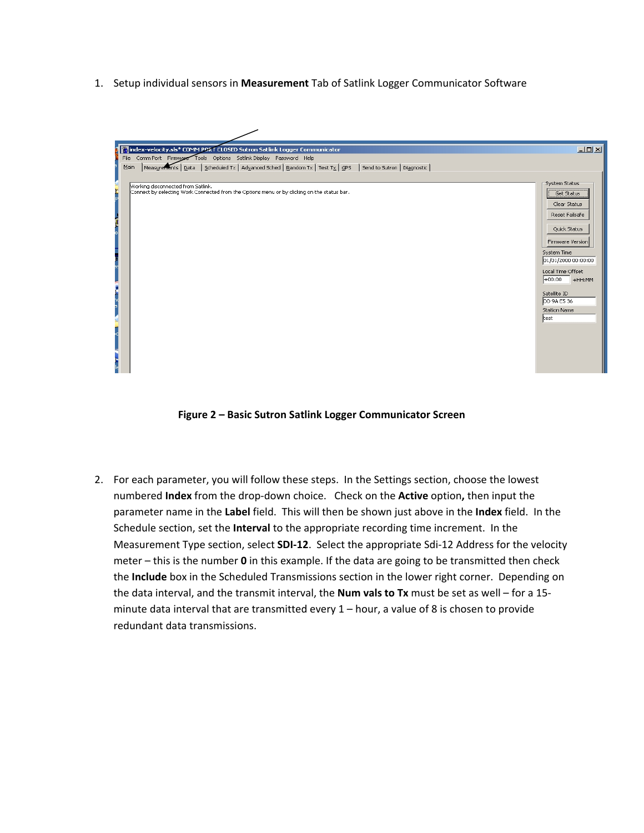1. Setup individual sensors in **Measurement** Tab of Satlink Logger Communicator Software



**Figure 2 – Basic Sutron Satlink Logger Communicator Screen**

2. For each parameter, you will follow these steps. In the Settings section, choose the lowest numbered **Index** from the drop‐down choice. Check on the **Active** option**,** then input the parameter name in the **Label** field. This will then be shown just above in the **Index** field. In the Schedule section, set the **Interval** to the appropriate recording time increment. In the Measurement Type section, select **SDI‐12**. Select the appropriate Sdi‐12 Address for the velocity meter – this is the number **0** in this example. If the data are going to be transmitted then check the **Include** box in the Scheduled Transmissions section in the lower right corner. Depending on the data interval, and the transmit interval, the **Num vals to Tx** must be set as well – for a 15‐ minute data interval that are transmitted every 1 – hour, a value of 8 is chosen to provide redundant data transmissions.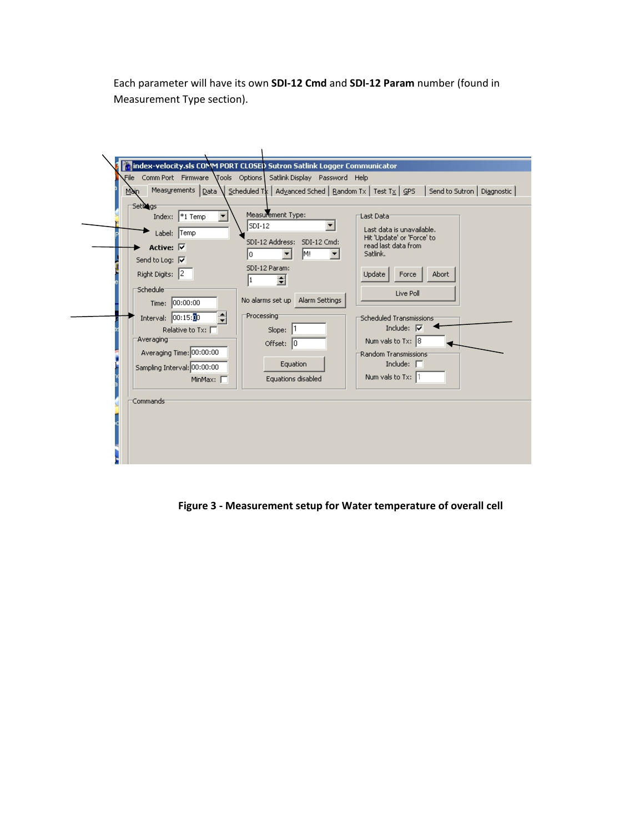Each parameter will have its own **SDI‐12 Cmd** and **SDI‐12 Param** number (found in Measurement Type section).

| Measurements   Data         | File Comm Port Firmware \Tools Options   Satlink Display Password Help | Scheduled Tk   Advanced Sched   Random Tx   Test Tx   GPS   Send to Sutron   Diagnostic |
|-----------------------------|------------------------------------------------------------------------|-----------------------------------------------------------------------------------------|
| Main                        | Measurement Type:                                                      | 'Last Data                                                                              |
| Set <b>io</b> gs            | SDI-12                                                                 | Last data is unavailable.                                                               |
| Index: $*1$ Temp            | SDI-12 Address: SDI-12 Cmd:                                            | Hit 'Update' or 'Force' to                                                              |
| Label: Temp                 | M!                                                                     | read last data from                                                                     |
| Active: $\nabla$            | $\blacksquare$                                                         | Satlink.                                                                                |
| Send to Log: V              | lo.                                                                    | Update                                                                                  |
| Right Digits: 2             | SDI-12 Param:                                                          | Abort                                                                                   |
| Schedule <sup>-</sup>       | ≑                                                                      | Force                                                                                   |
| Time: 00:00:00              | Alarm Settings                                                         | Live Poll                                                                               |
| Interval: 00:15:00          | No alarms set up                                                       | Scheduled Transmissions:                                                                |
| Relative to Tx: $\Box$      | Processing                                                             | Include: $\nabla$                                                                       |
| Averaging                   | Slope: 1                                                               | Num vals to Tx: $ 8 $                                                                   |
| Averaging Time: 00:00:00    | Offset: 0                                                              | Random Transmissions                                                                    |
| Sampling Interval: 00:00:00 | Equation                                                               | Include: $\Box$                                                                         |
| MinMax: $\Box$              | Equations disabled                                                     | Num vals to Tx: 1                                                                       |
| Commands <sup>-</sup>       |                                                                        |                                                                                         |

**Figure 3 ‐ Measurement setup for Water temperature of overall cell**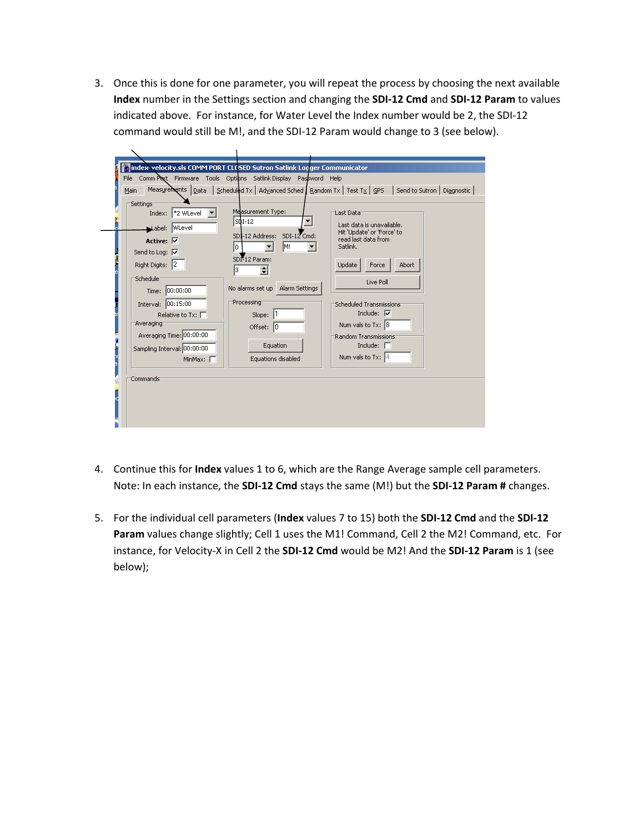3. Once this is done for one parameter, you will repeat the process by choosing the next available **Index** number in the Settings section and changing the **SDI‐12 Cmd** and **SDI‐12 Param** to values indicated above. For instance, for Water Level the Index number would be 2, the SDI‐12 command would still be M!, and the SDI‐12 Param would change to 3 (see below).

| Settings <sup>-</sup><br><sup>*2</sup> WLevel<br>Index:<br>Label: WLevel<br>Active: $\nabla$<br>Send to Log: $\nabla$<br>Right Digits: 2<br>Schedule <sup>-</sup><br>Time: 00:00:00<br>Interval: 00:15:00<br>Relative to Tx: $\Box$<br>Averaging <sup>®</sup><br>Averaging Time: 00:00:00<br>Sampling Interval: 00:00:00<br>MinMax: F<br>Commands <sup>-</sup> | Measurement Type:<br>SDI-12<br>≛<br>SDI-12 Address: SDI-12 Cmd:<br>M!<br>lo.<br>▾<br>SDI-12 Param:<br>$\div$<br>l3.<br>No alarms set up Alarm Settings<br><b>Processing</b><br>Slope: 1<br>Offset: 0<br>Equation<br>Equations disabled | tast Datai<br>Last data is unavailable.<br>Hit 'Update' or 'Force' to<br>read last data from<br>Satlink.<br>Abort<br>Update<br>Force<br>Live Poll<br>Scheduled Transmissions:<br>Include: $\nabla$<br>Num vals to Tx: 8<br>Random Transmissions:<br>Include: $\Box$<br>Num vals to Tx: $4$ |
|----------------------------------------------------------------------------------------------------------------------------------------------------------------------------------------------------------------------------------------------------------------------------------------------------------------------------------------------------------------|----------------------------------------------------------------------------------------------------------------------------------------------------------------------------------------------------------------------------------------|--------------------------------------------------------------------------------------------------------------------------------------------------------------------------------------------------------------------------------------------------------------------------------------------|
|----------------------------------------------------------------------------------------------------------------------------------------------------------------------------------------------------------------------------------------------------------------------------------------------------------------------------------------------------------------|----------------------------------------------------------------------------------------------------------------------------------------------------------------------------------------------------------------------------------------|--------------------------------------------------------------------------------------------------------------------------------------------------------------------------------------------------------------------------------------------------------------------------------------------|

- 4. Continue this for **Index** values 1 to 6, which are the Range Average sample cell parameters. Note: In each instance, the **SDI‐12 Cmd** stays the same (M!) but the **SDI‐12 Param #** changes.
- 5. For the individual cell parameters (**Index** values 7 to 15) both the **SDI‐12 Cmd** and the **SDI‐12 Param** values change slightly; Cell 1 uses the M1! Command, Cell 2 the M2! Command, etc. For instance, for Velocity‐X in Cell 2 the **SDI‐12 Cmd** would be M2! And the **SDI‐12 Param** is 1 (see below);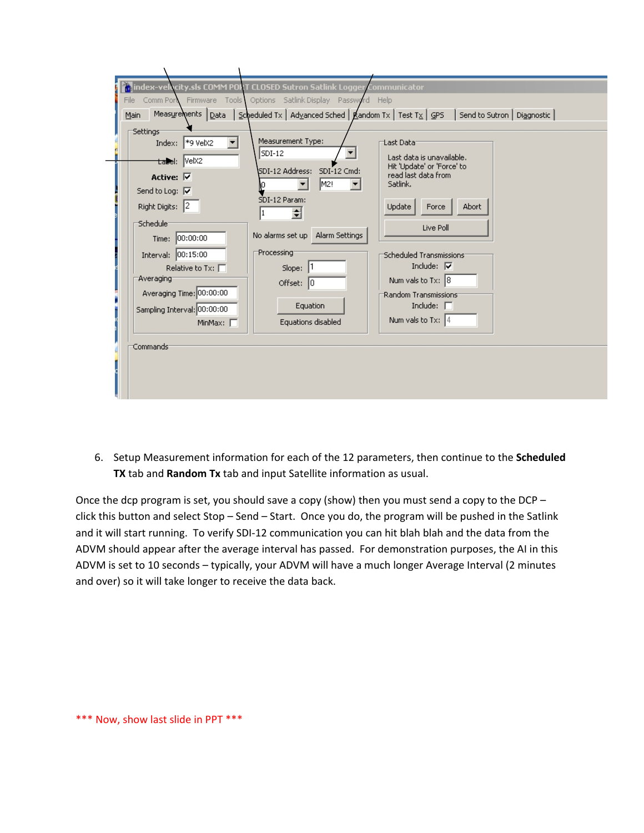| Main<br>Settings <sup>-</sup><br>Index: $*9$ Vel $x2$<br>tabel: Velx2<br>Active: <b>▽</b><br>Send to Log: <b>▽</b><br>Right Digits: 2<br>"Schedule<br>Time: 00:00:00<br>Interval: 00:15:00<br>Relative to Tx: $\Box$<br>"Averaging"<br>Averaging Time: 00:00:00<br>Sampling Interval: 00:00:00<br>MinMax: $\Box$<br>Commands <sup>.</sup> | Measurements   Data   Scheduled Tx   Advanced Sched   Kandom Tx   Test Tx   GPS   Send to Sutron   Diagnostic  <br>Measurement Type:<br>Last Data <sup>.</sup><br>$SDI-12$<br>Last data is unavailable.<br>Hit 'Update' or 'Force' to<br>SDI-12 Address: SDI-12 Cmd:<br>read last data from<br>M2!<br>Satlink.<br>SDI-12 Param:<br>Update<br><b>Abort</b><br>Force<br>쉬<br>Live Poll<br>No alarms set up   Alarm Settings<br>Processing <sup>-</sup><br>Scheduled Transmissions:<br>Include: $\nabla$<br>Slope: $ 1$<br>Num vals to Tx: $ 8 $<br>Offset: $ 0 $<br>Random Transmissions <sup>-</sup><br>Include: $\Box$<br>Equation<br>Num vals to Tx: $4$<br>Equations disabled |
|-------------------------------------------------------------------------------------------------------------------------------------------------------------------------------------------------------------------------------------------------------------------------------------------------------------------------------------------|---------------------------------------------------------------------------------------------------------------------------------------------------------------------------------------------------------------------------------------------------------------------------------------------------------------------------------------------------------------------------------------------------------------------------------------------------------------------------------------------------------------------------------------------------------------------------------------------------------------------------------------------------------------------------------|
|-------------------------------------------------------------------------------------------------------------------------------------------------------------------------------------------------------------------------------------------------------------------------------------------------------------------------------------------|---------------------------------------------------------------------------------------------------------------------------------------------------------------------------------------------------------------------------------------------------------------------------------------------------------------------------------------------------------------------------------------------------------------------------------------------------------------------------------------------------------------------------------------------------------------------------------------------------------------------------------------------------------------------------------|

6. Setup Measurement information for each of the 12 parameters, then continue to the **Scheduled TX** tab and **Random Tx** tab and input Satellite information as usual.

Once the dcp program is set, you should save a copy (show) then you must send a copy to the DCP – click this button and select Stop – Send – Start. Once you do, the program will be pushed in the Satlink and it will start running. To verify SDI-12 communication you can hit blah blah and the data from the ADVM should appear after the average interval has passed. For demonstration purposes, the AI in this ADVM is set to 10 seconds – typically, your ADVM will have a much longer Average Interval (2 minutes and over) so it will take longer to receive the data back.

\*\*\* Now, show last slide in PPT \*\*\*